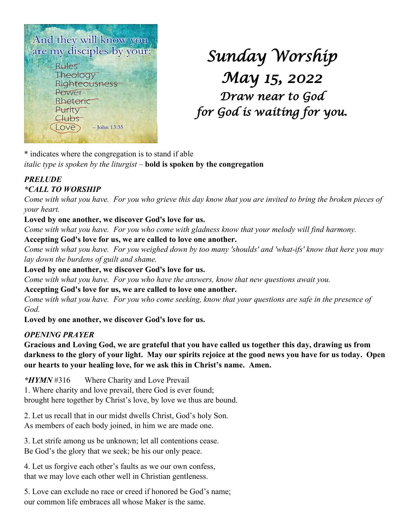

# *Sunday Worship May 15, 2022 Draw near to God for God is waiting for you.*

\* indicates where the congregation is to stand if able *italic type is spoken by the liturgist –* **bold is spoken by the congregation**

# *PRELUDE*

# *\*CALL TO WORSHIP*

*Come with what you have. For you who grieve this day know that you are invited to bring the broken pieces of your heart.*

# **Loved by one another, we discover God's love for us.**

*Come with what you have. For you who come with gladness know that your melody will find harmony.*

## **Accepting God's love for us, we are called to love one another.**

*Come with what you have. For you weighed down by too many 'shoulds' and 'what-ifs' know that here you may lay down the burdens of guilt and shame.*

## **Loved by one another, we discover God's love for us.**

*Come with what you have. For you who have the answers, know that new questions await you.*

**Accepting God's love for us, we are called to love one another.**

*Come with what you have. For you who come seeking, know that your questions are safe in the presence of God.*

**Loved by one another, we discover God's love for us.**

# *OPENING PRAYER*

**Gracious and Loving God, we are grateful that you have called us together this day, drawing us from darkness to the glory of your light. May our spirits rejoice at the good news you have for us today. Open our hearts to your healing love, for we ask this in Christ's name. Amen.**

*\*HYMN* #316 Where Charity and Love Prevail 1. Where charity and love prevail, there God is ever found;

brought here together by Christ's love, by love we thus are bound.

2. Let us recall that in our midst dwells Christ, God's holy Son. As members of each body joined, in him we are made one.

3. Let strife among us be unknown; let all contentions cease. Be God's the glory that we seek; be his our only peace.

4. Let us forgive each other's faults as we our own confess, that we may love each other well in Christian gentleness.

5. Love can exclude no race or creed if honored be God's name; our common life embraces all whose Maker is the same.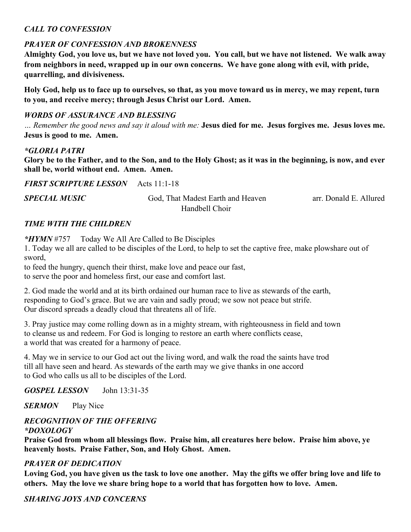## *CALL TO CONFESSION*

# *PRAYER OF CONFESSION AND BROKENNESS*

**Almighty God, you love us, but we have not loved you. You call, but we have not listened. We walk away from neighbors in need, wrapped up in our own concerns. We have gone along with evil, with pride, quarrelling, and divisiveness.**

**Holy God, help us to face up to ourselves, so that, as you move toward us in mercy, we may repent, turn to you, and receive mercy; through Jesus Christ our Lord. Amen.**

#### *WORDS OF ASSURANCE AND BLESSING*

*… Remember the good news and say it aloud with me:* **Jesus died for me. Jesus forgives me. Jesus loves me. Jesus is good to me. Amen.**

#### *\*GLORIA PATRI*

**Glory be to the Father, and to the Son, and to the Holy Ghost; as it was in the beginning, is now, and ever shall be, world without end. Amen. Amen.**

*FIRST SCRIPTURE LESSON* Acts 11:1-18

Handbell Choir

**SPECIAL MUSIC** 60d, That Madest Earth and Heaven arr. Donald E. Allured

#### *TIME WITH THE CHILDREN*

*\*HYMN* #757 Today We All Are Called to Be Disciples

1. Today we all are called to be disciples of the Lord, to help to set the captive free, make plowshare out of sword,

to feed the hungry, quench their thirst, make love and peace our fast, to serve the poor and homeless first, our ease and comfort last.

2. God made the world and at its birth ordained our human race to live as stewards of the earth, responding to God's grace. But we are vain and sadly proud; we sow not peace but strife. Our discord spreads a deadly cloud that threatens all of life.

3. Pray justice may come rolling down as in a mighty stream, with righteousness in field and town to cleanse us and redeem. For God is longing to restore an earth where conflicts cease, a world that was created for a harmony of peace.

4. May we in service to our God act out the living word, and walk the road the saints have trod till all have seen and heard. As stewards of the earth may we give thanks in one accord to God who calls us all to be disciples of the Lord.

*GOSPEL LESSON* John 13:31-35

*SERMON* Play Nice

#### *RECOGNITION OF THE OFFERING \*DOXOLOGY*

**Praise God from whom all blessings flow. Praise him, all creatures here below. Praise him above, ye heavenly hosts. Praise Father, Son, and Holy Ghost. Amen.**

## *PRAYER OF DEDICATION*

**Loving God, you have given us the task to love one another. May the gifts we offer bring love and life to others. May the love we share bring hope to a world that has forgotten how to love. Amen.**

## *SHARING JOYS AND CONCERNS*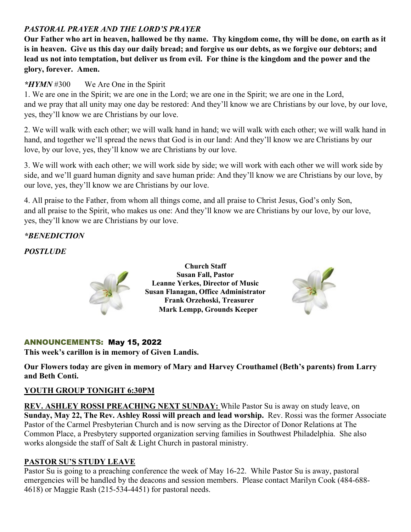# *PASTORAL PRAYER AND THE LORD'S PRAYER*

**Our Father who art in heaven, hallowed be thy name. Thy kingdom come, thy will be done, on earth as it is in heaven. Give us this day our daily bread; and forgive us our debts, as we forgive our debtors; and lead us not into temptation, but deliver us from evil. For thine is the kingdom and the power and the glory, forever. Amen.**

# *\*HYMN* #300 We Are One in the Spirit

1. We are one in the Spirit; we are one in the Lord; we are one in the Spirit; we are one in the Lord, and we pray that all unity may one day be restored: And they'll know we are Christians by our love, by our love, yes, they'll know we are Christians by our love.

2. We will walk with each other; we will walk hand in hand; we will walk with each other; we will walk hand in hand, and together we'll spread the news that God is in our land: And they'll know we are Christians by our love, by our love, yes, they'll know we are Christians by our love.

3. We will work with each other; we will work side by side; we will work with each other we will work side by side, and we'll guard human dignity and save human pride: And they'll know we are Christians by our love, by our love, yes, they'll know we are Christians by our love.

4. All praise to the Father, from whom all things come, and all praise to Christ Jesus, God's only Son, and all praise to the Spirit, who makes us one: And they'll know we are Christians by our love, by our love, yes, they'll know we are Christians by our love.

*\*BENEDICTION*

*POSTLUDE*



**Church Staff Susan Fall, Pastor Leanne Yerkes, Director of Music Susan Flanagan, Office Administrator Frank Orzehoski, Treasurer Mark Lempp, Grounds Keeper**



# ANNOUNCEMENTS: May 15, 2022

**This week's carillon is in memory of Given Landis.**

**Our Flowers today are given in memory of Mary and Harvey Crouthamel (Beth's parents) from Larry and Beth Conti.**

# **YOUTH GROUP TONIGHT 6:30PM**

**REV. ASHLEY ROSSI PREACHING NEXT SUNDAY:** While Pastor Su is away on study leave, on **Sunday, May 22, The Rev. Ashley Rossi will preach and lead worship.** Rev. Rossi was the former Associate Pastor of the Carmel Presbyterian Church and is now serving as the Director of Donor Relations at The Common Place, a Presbytery supported organization serving families in Southwest Philadelphia. She also works alongside the staff of Salt & Light Church in pastoral ministry.

# **PASTOR SU'S STUDY LEAVE**

Pastor Su is going to a preaching conference the week of May 16-22. While Pastor Su is away, pastoral emergencies will be handled by the deacons and session members. Please contact Marilyn Cook (484-688- 4618) or Maggie Rash (215-534-4451) for pastoral needs.